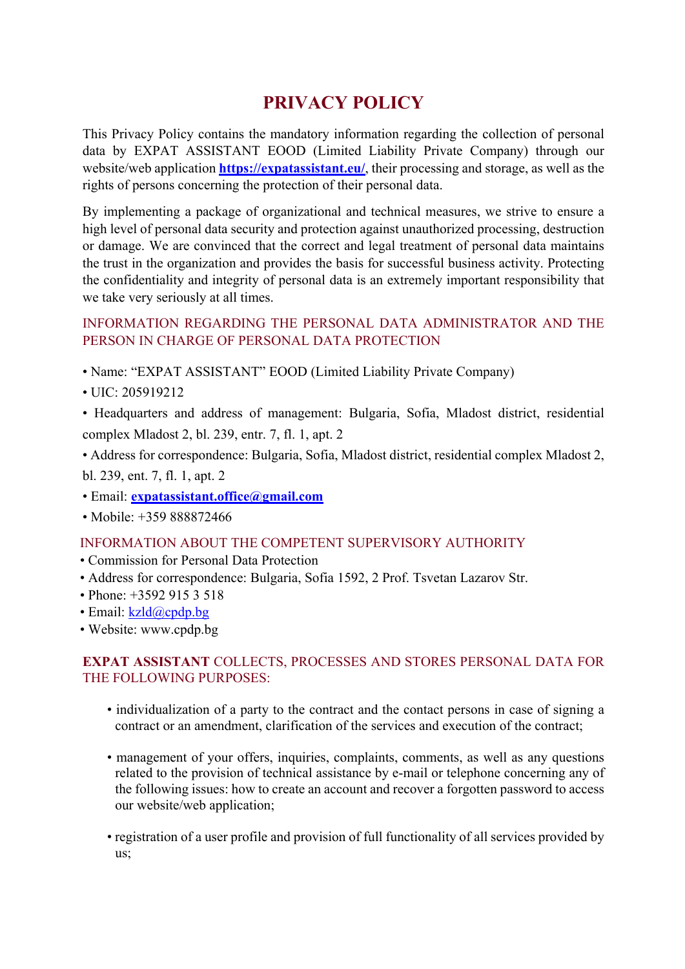# **PRIVACY POLICY**

This Privacy Policy contains the mandatory information regarding the collection of personal data by EXPAT ASSISTANT EOOD (Limited Liability Private Company) through our website/web application **https://expatassistant.eu/**, their processing and storage, as well as the rights of persons concerning the protection of their personal data.

By implementing a package of organizational and technical measures, we strive to ensure a high level of personal data security and protection against unauthorized processing, destruction or damage. We are convinced that the correct and legal treatment of personal data maintains the trust in the organization and provides the basis for successful business activity. Protecting the confidentiality and integrity of personal data is an extremely important responsibility that we take very seriously at all times.

# INFORMATION REGARDING THE PERSONAL DATA ADMINISTRATOR AND THE PERSON IN CHARGE OF PERSONAL DATA PROTECTION

- Name: "EXPAT ASSISTANT" EOOD (Limited Liability Private Company)
- UIC: 205919212

• Headquarters and address of management: Bulgaria, Sofia, Mladost district, residential complex Mladost 2, bl. 239, entr. 7, fl. 1, apt. 2

• Address for correspondence: Bulgaria, Sofia, Mladost district, residential complex Mladost 2, bl. 239, ent. 7, fl. 1, apt. 2

- Email: **expatassistant.office@gmail.com**
- Mobile: +359 888872466

# INFORMATION ABOUT THE COMPETENT SUPERVISORY AUTHORITY

- Commission for Personal Data Protection
- Address for correspondence: Bulgaria, Sofia 1592, 2 Prof. Tsvetan Lazarov Str.
- Phone: +3592 915 3 518
- Email: kzld@cpdp.bg
- Website: www.cpdp.bg

### **EXPAT ASSISTANT** COLLECTS, PROCESSES AND STORES PERSONAL DATA FOR THE FOLLOWING PURPOSES:

- individualization of a party to the contract and the contact persons in case of signing a contract or an amendment, clarification of the services and execution of the contract;
- management of your offers, inquiries, complaints, comments, as well as any questions related to the provision of technical assistance by e-mail or telephone concerning any of the following issues: how to create an account and recover a forgotten password to access our website/web application;
- registration of a user profile and provision of full functionality of all services provided by us;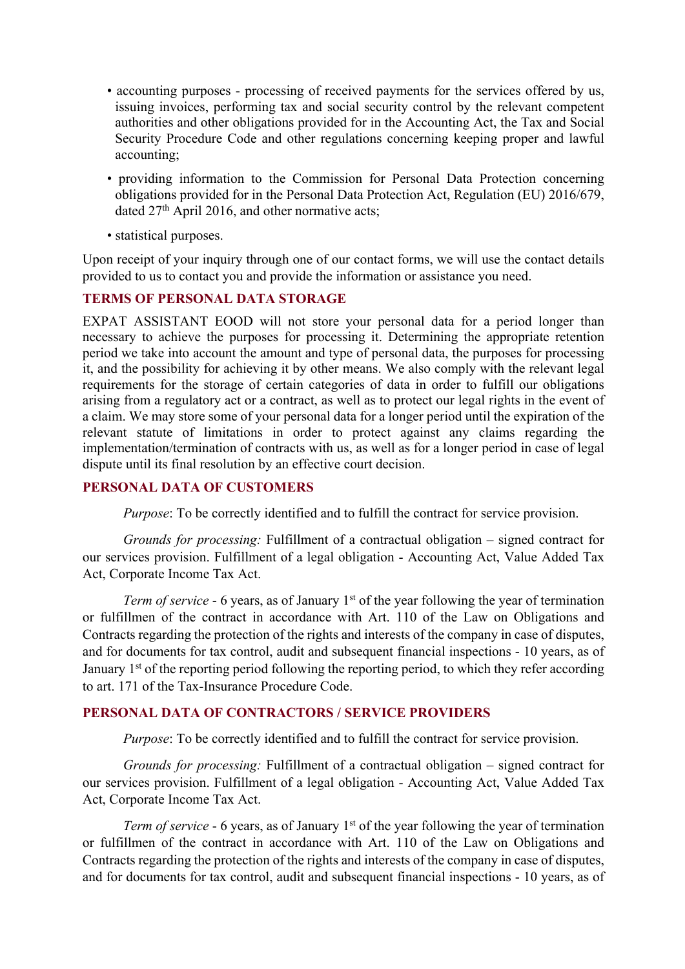- accounting purposes processing of received payments for the services offered by us, issuing invoices, performing tax and social security control by the relevant competent authorities and other obligations provided for in the Accounting Act, the Tax and Social Security Procedure Code and other regulations concerning keeping proper and lawful accounting;
- providing information to the Commission for Personal Data Protection concerning obligations provided for in the Personal Data Protection Act, Regulation (EU) 2016/679, dated 27<sup>th</sup> April 2016, and other normative acts;
- statistical purposes.

Upon receipt of your inquiry through one of our contact forms, we will use the contact details provided to us to contact you and provide the information or assistance you need.

#### **TERMS OF PERSONAL DATA STORAGE**

EXPAT ASSISTANT EOOD will not store your personal data for a period longer than necessary to achieve the purposes for processing it. Determining the appropriate retention period we take into account the amount and type of personal data, the purposes for processing it, and the possibility for achieving it by other means. We also comply with the relevant legal requirements for the storage of certain categories of data in order to fulfill our obligations arising from a regulatory act or a contract, as well as to protect our legal rights in the event of a claim. We may store some of your personal data for a longer period until the expiration of the relevant statute of limitations in order to protect against any claims regarding the implementation/termination of contracts with us, as well as for a longer period in case of legal dispute until its final resolution by an effective court decision.

#### **PERSONAL DATA OF CUSTOMERS**

*Purpose*: To be correctly identified and to fulfill the contract for service provision.

*Grounds for processing:* Fulfillment of a contractual obligation – signed contract for our services provision. Fulfillment of a legal obligation - Accounting Act, Value Added Tax Act, Corporate Income Tax Act.

*Term of service* - 6 years, as of January 1<sup>st</sup> of the year following the year of termination or fulfillmen of the contract in accordance with Art. 110 of the Law on Obligations and Contracts regarding the protection of the rights and interests of the company in case of disputes, and for documents for tax control, audit and subsequent financial inspections - 10 years, as of January 1<sup>st</sup> of the reporting period following the reporting period, to which they refer according to art. 171 of the Tax-Insurance Procedure Code.

#### **PERSONAL DATA OF CONTRACTORS / SERVICE PROVIDERS**

*Purpose*: To be correctly identified and to fulfill the contract for service provision.

*Grounds for processing:* Fulfillment of a contractual obligation – signed contract for our services provision. Fulfillment of a legal obligation - Accounting Act, Value Added Tax Act, Corporate Income Tax Act.

*Term of service* - 6 years, as of January 1<sup>st</sup> of the year following the year of termination or fulfillmen of the contract in accordance with Art. 110 of the Law on Obligations and Contracts regarding the protection of the rights and interests of the company in case of disputes, and for documents for tax control, audit and subsequent financial inspections - 10 years, as of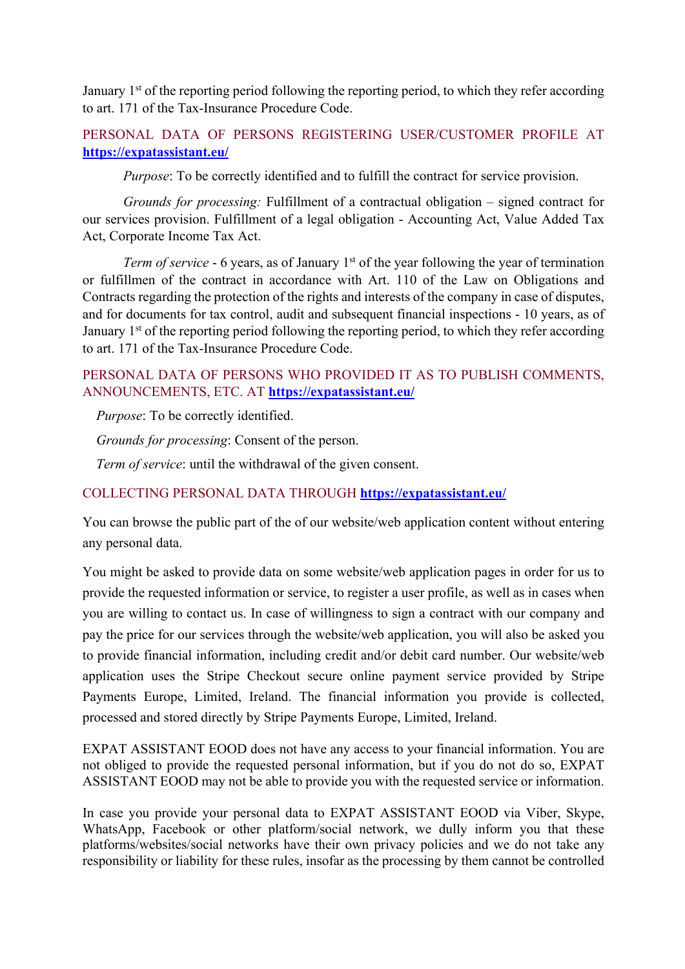January  $1<sup>st</sup>$  of the reporting period following the reporting period, to which they refer according to art. 171 of the Tax-Insurance Procedure Code.

# PERSONAL DATA OF PERSONS REGISTERING USER/CUSTOMER PROFILE AT **https://expatassistant.eu/**

*Purpose*: To be correctly identified and to fulfill the contract for service provision.

*Grounds for processing:* Fulfillment of a contractual obligation – signed contract for our services provision. Fulfillment of a legal obligation - Accounting Act, Value Added Tax Act, Corporate Income Tax Act.

*Term of service* - 6 years, as of January 1<sup>st</sup> of the year following the year of termination or fulfillmen of the contract in accordance with Art. 110 of the Law on Obligations and Contracts regarding the protection of the rights and interests of the company in case of disputes, and for documents for tax control, audit and subsequent financial inspections - 10 years, as of January 1<sup>st</sup> of the reporting period following the reporting period, to which they refer according to art. 171 of the Tax-Insurance Procedure Code.

# PERSONAL DATA OF PERSONS WHO PROVIDED IT AS TO PUBLISH COMMENTS, ANNOUNCEMENTS, ETC. AT **https://expatassistant.eu/**

*Purpose*: To be correctly identified.

*Grounds for processing*: Consent of the person.

*Term of service*: until the withdrawal of the given consent.

#### COLLECTING PERSONAL DATA THROUGH **https://expatassistant.eu/**

You can browse the public part of the of our website/web application content without entering any personal data.

You might be asked to provide data on some website/web application pages in order for us to provide the requested information or service, to register a user profile, as well as in cases when you are willing to contact us. In case of willingness to sign a contract with our company and pay the price for our services through the website/web application, you will also be asked you to provide financial information, including credit and/or debit card number. Our website/web application uses the Stripe Checkout secure online payment service provided by Stripe Payments Europe, Limited, Ireland. The financial information you provide is collected, processed and stored directly by Stripe Payments Europe, Limited, Ireland.

EXPAT ASSISTANT EOOD does not have any access to your financial information. You are not obliged to provide the requested personal information, but if you do not do so, EXPAT ASSISTANT EOOD may not be able to provide you with the requested service or information.

In case you provide your personal data to EXPAT ASSISTANT EOOD via Viber, Skype, WhatsApp, Facebook or other platform/social network, we dully inform you that these platforms/websites/social networks have their own privacy policies and we do not take any responsibility or liability for these rules, insofar as the processing by them cannot be controlled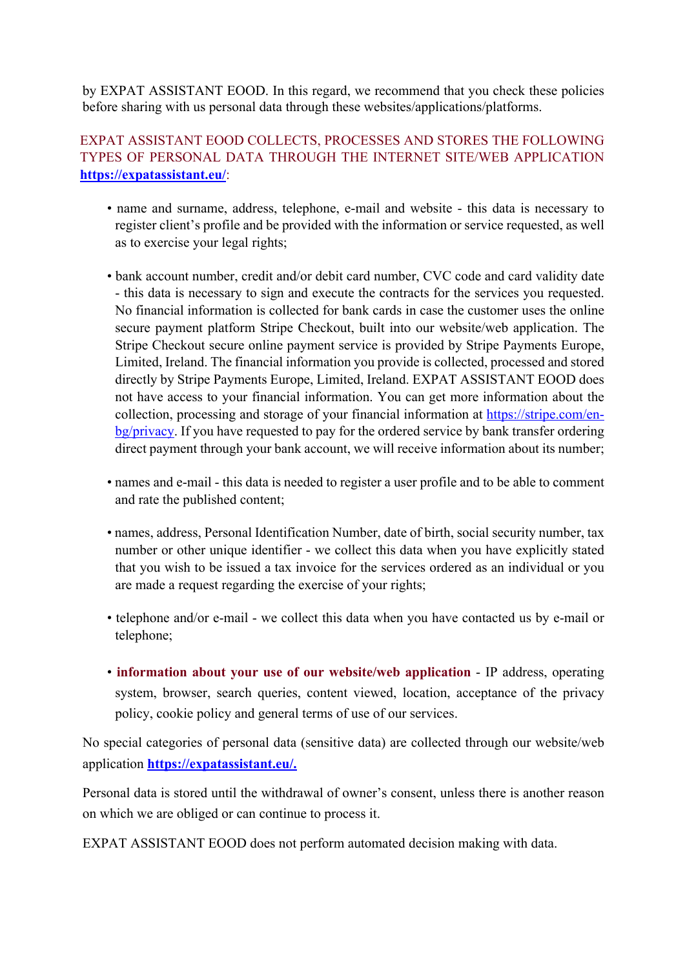by EXPAT ASSISTANT EOOD. In this regard, we recommend that you check these policies before sharing with us personal data through these websites/applications/platforms.

# EXPAT ASSISTANT EOOD COLLECTS, PROCESSES AND STORES THE FOLLOWING TYPES OF PERSONAL DATA THROUGH THE INTERNET SITE/WEB APPLICATION **https://expatassistant.eu/**:

- name and surname, address, telephone, e-mail and website this data is necessary to register client's profile and be provided with the information or service requested, as well as to exercise your legal rights;
- bank account number, credit and/or debit card number, CVC code and card validity date - this data is necessary to sign and execute the contracts for the services you requested. No financial information is collected for bank cards in case the customer uses the online secure payment platform Stripe Checkout, built into our website/web application. The Stripe Checkout secure online payment service is provided by Stripe Payments Europe, Limited, Ireland. The financial information you provide is collected, processed and stored directly by Stripe Payments Europe, Limited, Ireland. EXPAT ASSISTANT EOOD does not have access to your financial information. You can get more information about the collection, processing and storage of your financial information at https://stripe.com/enbg/privacy. If you have requested to pay for the ordered service by bank transfer ordering direct payment through your bank account, we will receive information about its number;
- names and e-mail this data is needed to register a user profile and to be able to comment and rate the published content;
- names, address, Personal Identification Number, date of birth, social security number, tax number or other unique identifier - we collect this data when you have explicitly stated that you wish to be issued a tax invoice for the services ordered as an individual or you are made a request regarding the exercise of your rights;
- telephone and/or e-mail we collect this data when you have contacted us by e-mail or telephone;
- **information about your use of our website/web application** IP address, operating system, browser, search queries, content viewed, location, acceptance of the privacy policy, cookie policy and general terms of use of our services.

No special categories of personal data (sensitive data) are collected through our website/web application **https://expatassistant.eu/.**

Personal data is stored until the withdrawal of owner's consent, unless there is another reason on which we are obliged or can continue to process it.

EXPAT ASSISTANT EOOD does not perform automated decision making with data.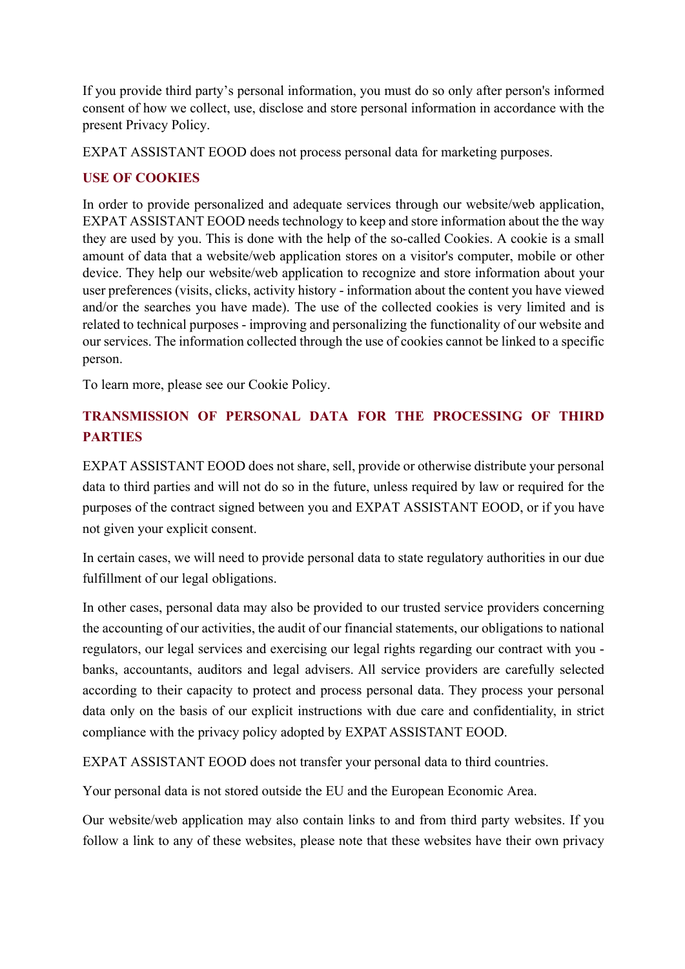If you provide third party's personal information, you must do so only after person's informed consent of how we collect, use, disclose and store personal information in accordance with the present Privacy Policy.

EXPAT ASSISTANT EOOD does not process personal data for marketing purposes.

# **USE OF COOKIES**

In order to provide personalized and adequate services through our website/web application, EXPAT ASSISTANT EOOD needs technology to keep and store information about the the way they are used by you. This is done with the help of the so-called Cookies. A cookie is a small amount of data that a website/web application stores on a visitor's computer, mobile or other device. They help our website/web application to recognize and store information about your user preferences (visits, clicks, activity history - information about the content you have viewed and/or the searches you have made). The use of the collected cookies is very limited and is related to technical purposes - improving and personalizing the functionality of our website and our services. The information collected through the use of cookies cannot be linked to a specific person.

To learn more, please see our Cookie Policy.

# **TRANSMISSION OF PERSONAL DATA FOR THE PROCESSING OF THIRD PARTIES**

EXPAT ASSISTANT EOOD does not share, sell, provide or otherwise distribute your personal data to third parties and will not do so in the future, unless required by law or required for the purposes of the contract signed between you and EXPAT ASSISTANT EOOD, or if you have not given your explicit consent.

In certain cases, we will need to provide personal data to state regulatory authorities in our due fulfillment of our legal obligations.

In other cases, personal data may also be provided to our trusted service providers concerning the accounting of our activities, the audit of our financial statements, our obligations to national regulators, our legal services and exercising our legal rights regarding our contract with you banks, accountants, auditors and legal advisers. All service providers are carefully selected according to their capacity to protect and process personal data. They process your personal data only on the basis of our explicit instructions with due care and confidentiality, in strict compliance with the privacy policy adopted by EXPAT ASSISTANT EOOD.

EXPAT ASSISTANT EOOD does not transfer your personal data to third countries.

Your personal data is not stored outside the EU and the European Economic Area.

Our website/web application may also contain links to and from third party websites. If you follow a link to any of these websites, please note that these websites have their own privacy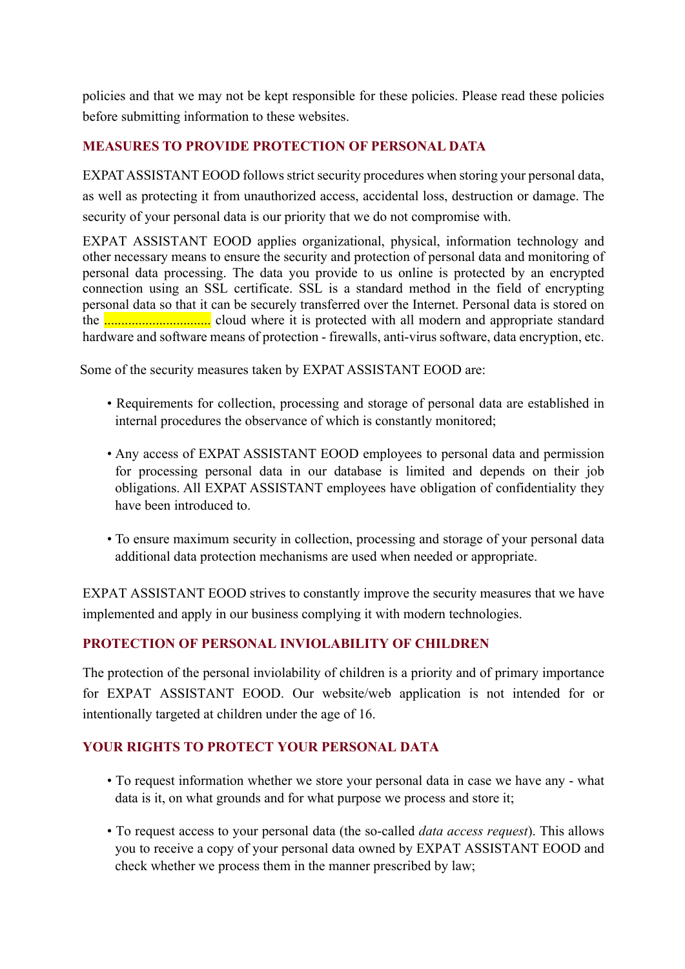policies and that we may not be kept responsible for these policies. Please read these policies before submitting information to these websites.

# **MEASURES TO PROVIDE PROTECTION OF PERSONAL DATA**

EXPAT ASSISTANT EOOD follows strict security procedures when storing your personal data, as well as protecting it from unauthorized access, accidental loss, destruction or damage. The security of your personal data is our priority that we do not compromise with.

EXPAT ASSISTANT EOOD applies organizational, physical, information technology and other necessary means to ensure the security and protection of personal data and monitoring of personal data processing. The data you provide to us online is protected by an encrypted connection using an SSL certificate. SSL is a standard method in the field of encrypting personal data so that it can be securely transferred over the Internet. Personal data is stored on the ............................... cloud where it is protected with all modern and appropriate standard hardware and software means of protection - firewalls, anti-virus software, data encryption, etc.

Some of the security measures taken by EXPAT ASSISTANT EOOD are:

- Requirements for collection, processing and storage of personal data are established in internal procedures the observance of which is constantly monitored;
- Any access of EXPAT ASSISTANT EOOD employees to personal data and permission for processing personal data in our database is limited and depends on their job obligations. All EXPAT ASSISTANT employees have obligation of confidentiality they have been introduced to.
- To ensure maximum security in collection, processing and storage of your personal data additional data protection mechanisms are used when needed or appropriate.

EXPAT ASSISTANT EOOD strives to constantly improve the security measures that we have implemented and apply in our business complying it with modern technologies.

# **PROTECTION OF PERSONAL INVIOLABILITY OF CHILDREN**

The protection of the personal inviolability of children is a priority and of primary importance for EXPAT ASSISTANT EOOD. Our website/web application is not intended for or intentionally targeted at children under the age of 16.

# **YOUR RIGHTS TO PROTECT YOUR PERSONAL DATA**

- To request information whether we store your personal data in case we have any what data is it, on what grounds and for what purpose we process and store it;
- To request access to your personal data (the so-called *data access request*). This allows you to receive a copy of your personal data owned by EXPAT ASSISTANT EOOD and check whether we process them in the manner prescribed by law;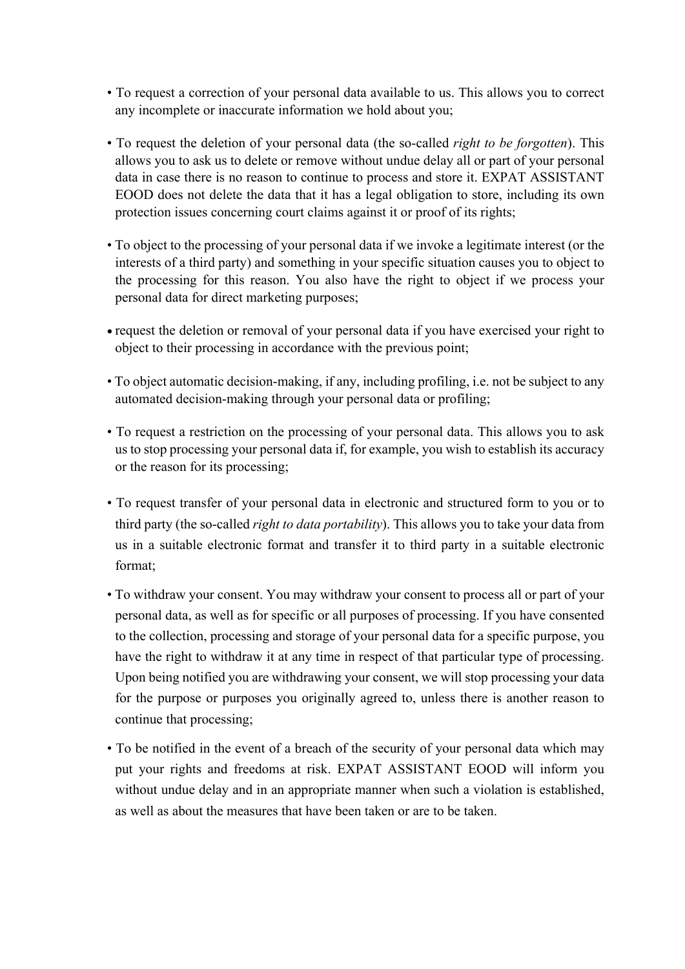- To request a correction of your personal data available to us. This allows you to correct any incomplete or inaccurate information we hold about you;
- To request the deletion of your personal data (the so-called *right to be forgotten*). This allows you to ask us to delete or remove without undue delay all or part of your personal data in case there is no reason to continue to process and store it. EXPAT ASSISTANT EOOD does not delete the data that it has a legal obligation to store, including its own protection issues concerning court claims against it or proof of its rights;
- To object to the processing of your personal data if we invoke a legitimate interest (or the interests of a third party) and something in your specific situation causes you to object to the processing for this reason. You also have the right to object if we process your personal data for direct marketing purposes;
- request the deletion or removal of your personal data if you have exercised your right to object to their processing in accordance with the previous point;
- To object automatic decision-making, if any, including profiling, i.e. not be subject to any automated decision-making through your personal data or profiling;
- To request a restriction on the processing of your personal data. This allows you to ask us to stop processing your personal data if, for example, you wish to establish its accuracy or the reason for its processing;
- To request transfer of your personal data in electronic and structured form to you or to third party (the so-called *right to data portability*). This allows you to take your data from us in a suitable electronic format and transfer it to third party in a suitable electronic format;
- To withdraw your consent. You may withdraw your consent to process all or part of your personal data, as well as for specific or all purposes of processing. If you have consented to the collection, processing and storage of your personal data for a specific purpose, you have the right to withdraw it at any time in respect of that particular type of processing. Upon being notified you are withdrawing your consent, we will stop processing your data for the purpose or purposes you originally agreed to, unless there is another reason to continue that processing;
- To be notified in the event of a breach of the security of your personal data which may put your rights and freedoms at risk. EXPAT ASSISTANT EOOD will inform you without undue delay and in an appropriate manner when such a violation is established, as well as about the measures that have been taken or are to be taken.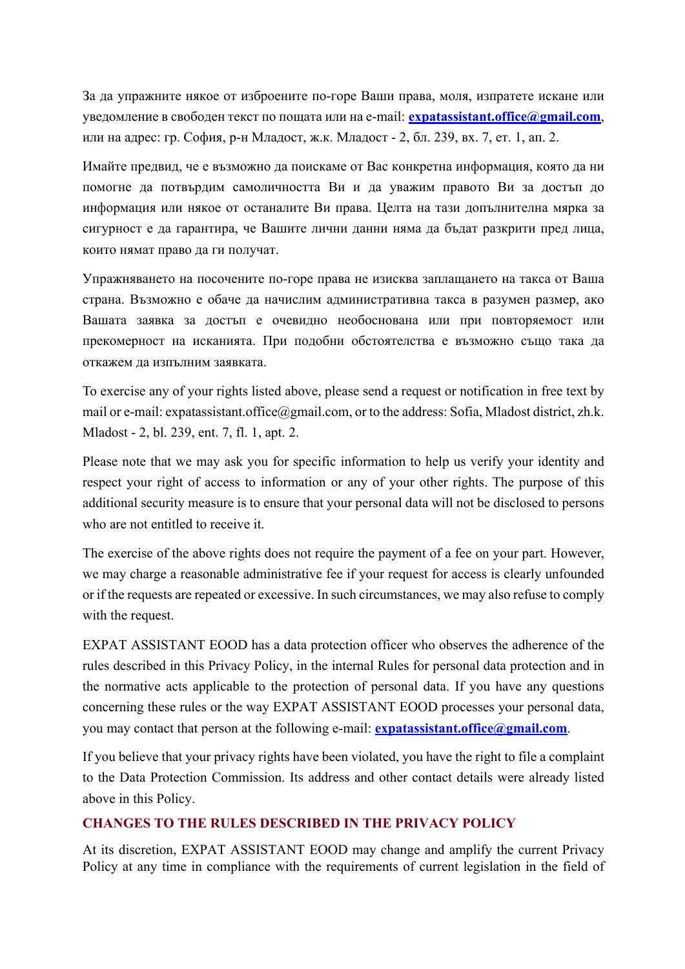За да упражните някое от изброените по-горе Ваши права, моля, изпратете искане или уведомление в свободен текст по пощата или на e-mail: **expatassistant.office@gmail.com**, или на адрес: гр. София, р-н Младост, ж.к. Младост - 2, бл. 239, вх. 7, ет. 1, ап. 2.

Имайте предвид, че е възможно да поискаме от Вас конкретна информация, която да ни помогне да потвърдим самоличността Ви и да уважим правото Ви за достъп до информация или някое от останалите Ви права. Целта на тази допълнителна мярка за сигурност е да гарантира, че Вашите лични данни няма да бъдат разкрити пред лица, които нямат право да ги получат.

Упражняването на посочените по-горе права не изисква заплащането на такса от Ваша страна. Възможно е обаче да начислим административна такса в разумен размер, ако Вашата заявка за достъп е очевидно необоснована или при повторяемост или прекомерност на исканията. При подобни обстоятелства е възможно също така да откажем да изпълним заявката.

To exercise any of your rights listed above, please send a request or notification in free text by mail or e-mail: expatassistant.office@gmail.com, or to the address: Sofia, Mladost district, zh.k. Mladost - 2, bl. 239, ent. 7, fl. 1, apt. 2.

Please note that we may ask you for specific information to help us verify your identity and respect your right of access to information or any of your other rights. The purpose of this additional security measure is to ensure that your personal data will not be disclosed to persons who are not entitled to receive it.

The exercise of the above rights does not require the payment of a fee on your part. However, we may charge a reasonable administrative fee if your request for access is clearly unfounded or if the requests are repeated or excessive. In such circumstances, we may also refuse to comply with the request.

EXPAT ASSISTANT EOOD has a data protection officer who observes the adherence of the rules described in this Privacy Policy, in the internal Rules for personal data protection and in the normative acts applicable to the protection of personal data. If you have any questions concerning these rules or the way EXPAT ASSISTANT EOOD processes your personal data, you may contact that person at the following e-mail: **expatassistant.office@gmail.com**.

If you believe that your privacy rights have been violated, you have the right to file a complaint to the Data Protection Commission. Its address and other contact details were already listed above in this Policy.

# **CHANGES TO THE RULES DESCRIBED IN THE PRIVACY POLICY**

At its discretion, EXPAT ASSISTANT EOOD may change and amplify the current Privacy Policy at any time in compliance with the requirements of current legislation in the field of